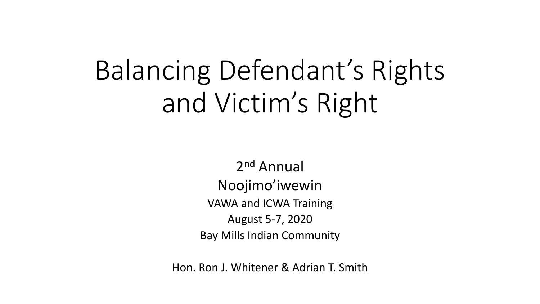## Balancing Defendant's Rights and Victim's Right

2nd Annual Noojimo'iwewin VAWA and ICWA Training August 5-7, 2020 Bay Mills Indian Community

Hon. Ron J. Whitener & Adrian T. Smith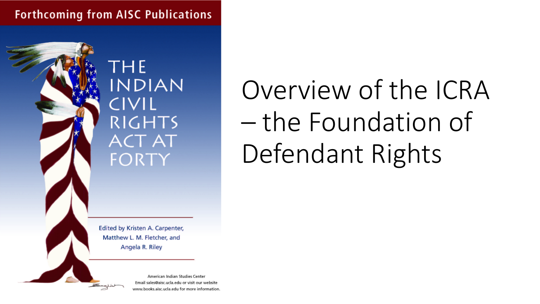**Forthcoming from AISC Publications** 



**THE INDIAN** CIVIL **RIGHTS ACT AT** FORTY

Edited by Kristen A. Carpenter, Matthew L. M. Fletcher, and Angela R. Riley

> American Indian Studies Center Email sales@aisc.ucla.edu or visit our website www.books.aisc.ucla.edu for more information.

# Overview of the ICRA – the Foundation of Defendant Rights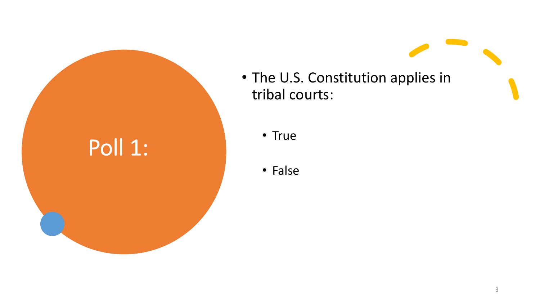

- The U.S. Constitution applies in tribal courts:
	- True
	- False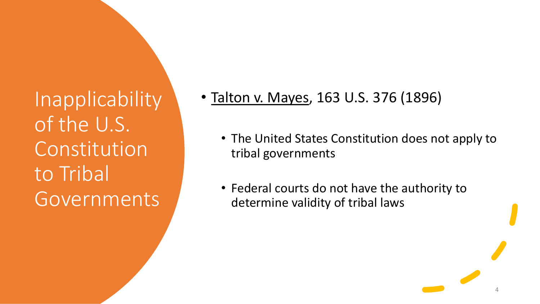**Inapplicability** of the U.S. Constitution to Tribal Governments

- Talton v. Mayes, 163 U.S. 376 (1896)
	- The United States Constitution does not apply to tribal governments
	- Federal courts do not have the authority to determine validity of tribal laws

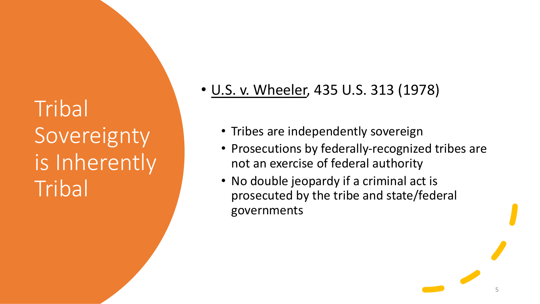## **Tribal** Sovereignty is Inherently **Tribal**

- U.S. v. Wheeler, 435 U.S. 313 (1978)
	- Tribes are independently sovereign
	- Prosecutions by federally-recognized tribes are not an exercise of federal authority
	- No double jeopardy if a criminal act is prosecuted by the tribe and state/federal governments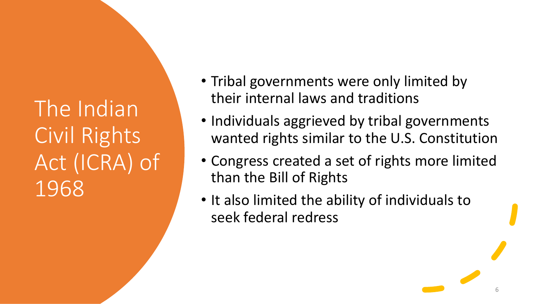The Indian Civil Rights Act (ICRA) of 1968

- Tribal governments were only limited by their internal laws and traditions
- Individuals aggrieved by tribal governments wanted rights similar to the U.S. Constitution
- Congress created a set of rights more limited than the Bill of Rights
- It also limited the ability of individuals to seek federal redress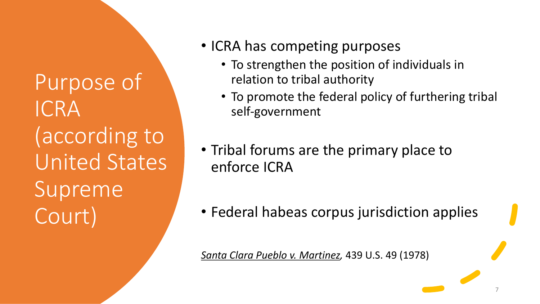Purpose of ICRA (according to United States Supreme Court)

- ICRA has competing purposes
	- To strengthen the position of individuals in relation to tribal authority
	- To promote the federal policy of furthering tribal self-government
- Tribal forums are the primary place to enforce ICRA
- Federal habeas corpus jurisdiction applies

*Santa Clara Pueblo v. Martinez,* 439 U.S. 49 (1978)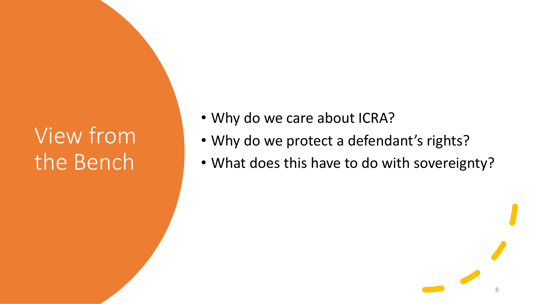## View from the Bench

- Why do we care about ICRA?
- Why do we protect a defendant's rights?
- What does this have to do with sovereignty?

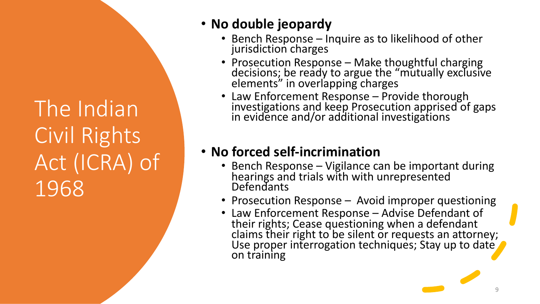The Indian Civil Rights Act (ICRA) of 1968

#### • **No double jeopardy**

- Bench Response Inquire as to likelihood of other jurisdiction charges
- Prosecution Response Make thoughtful charging decisions; be ready to argue the "mutually exclusive elements" in overlapping charges
- Law Enforcement Response Provide thorough investigations and keep Prosecution apprised of gaps in evidence and/or additional investigations

### • **No forced self-incrimination**

- Bench Response Vigilance can be important during hearings and trials with with unrepresented **Defendants**
- Prosecution Response Avoid improper questioning
- Law Enforcement Response Advise Defendant of their rights; Cease questioning when a defendant claims their right to be silent or requests an attorney; Use proper interrogation techniques; Stay up to date on training

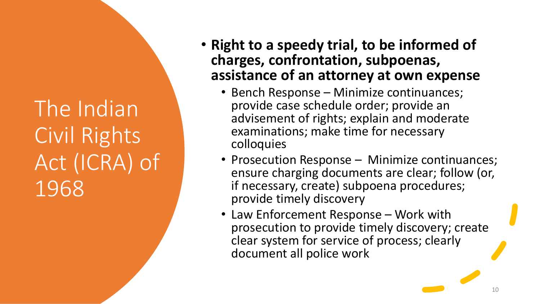The Indian Civil Rights Act (ICRA) of 1968

- **Right to a speedy trial, to be informed of charges, confrontation, subpoenas, assistance of an attorney at own expense**
	- Bench Response Minimize continuances; provide case schedule order; provide an advisement of rights; explain and moderate examinations; make time for necessary colloquies
	- Prosecution Response Minimize continuances; ensure charging documents are clear; follow (or, if necessary, create) subpoena procedures; provide timely discovery
	- Law Enforcement Response Work with prosecution to provide timely discovery; create clear system for service of process; clearly document all police work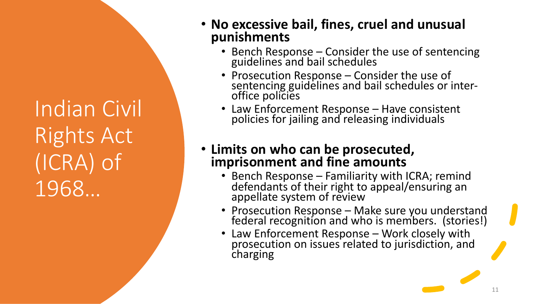Indian Civil Rights Act (ICRA) of 1968…

#### • **No excessive bail, fines, cruel and unusual punishments**

- Bench Response Consider the use of sentencing guidelines and bail schedules
- Prosecution Response Consider the use of sentencing guidelines and bail schedules or inter-<br>office policies
- Law Enforcement Response Have consistent policies for jailing and releasing individuals

#### • **Limits on who can be prosecuted, imprisonment and fine amounts**

- Bench Response Familiarity with ICRA; remind<br>defendants of their right to appeal/ensuring an appellate system of review
- Prosecution Response Make sure you understand federal recognition and who is members. (stories!)
- Law Enforcement Response Work closely with prosecution on issues related to jurisdiction, and charging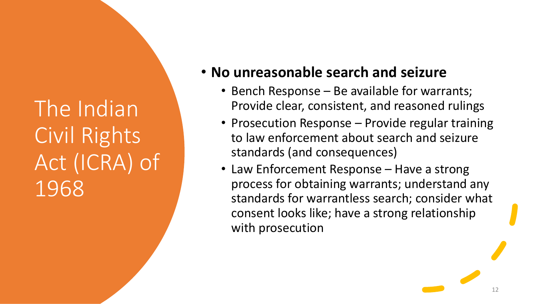The Indian Civil Rights Act (ICRA) of 1968

### • **No unreasonable search and seizure**

- Bench Response Be available for warrants; Provide clear, consistent, and reasoned rulings
- Prosecution Response Provide regular training to law enforcement about search and seizure standards (and consequences)
- Law Enforcement Response Have a strong process for obtaining warrants; understand any standards for warrantless search; consider what consent looks like; have a strong relationship with prosecution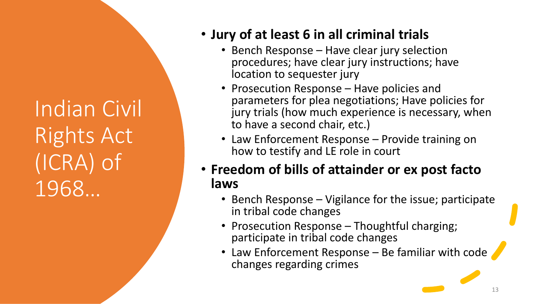Indian Civil Rights Act (ICRA) of 1968…

#### • **Jury of at least 6 in all criminal trials**

- Bench Response Have clear jury selection procedures; have clear jury instructions; have location to sequester jury
- Prosecution Response Have policies and parameters for plea negotiations; Have policies for jury trials (how much experience is necessary, when to have a second chair, etc.)
- Law Enforcement Response Provide training on how to testify and LE role in court
- **Freedom of bills of attainder or ex post facto laws**
	- Bench Response Vigilance for the issue; participate in tribal code changes
	- Prosecution Response Thoughtful charging; participate in tribal code changes
	- Law Enforcement Response Be familiar with code changes regarding crimes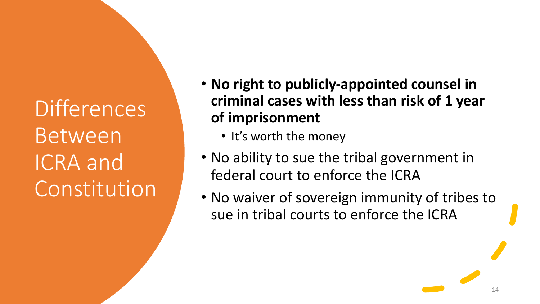**Differences** Between ICRA and Constitution

- **No right to publicly-appointed counsel in criminal cases with less than risk of 1 year of imprisonment**
	- It's worth the money
- No ability to sue the tribal government in federal court to enforce the ICRA
- No waiver of sovereign immunity of tribes to sue in tribal courts to enforce the ICRA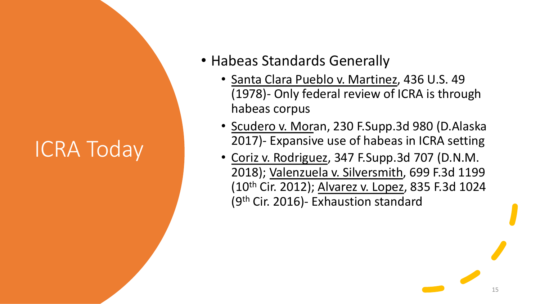- Habeas Standards Generally
	- Santa Clara Pueblo v. Martinez, 436 U.S. 49 (1978)- Only federal review of ICRA is through habeas corpus
	- Scudero v. Moran, 230 F.Supp.3d 980 (D.Alaska 2017)- Expansive use of habeas in ICRA setting
	- Coriz v. Rodriguez, 347 F.Supp.3d 707 (D.N.M. 2018); Valenzuela v. Silversmith, 699 F.3d 1199 (10th Cir. 2012); Alvarez v. Lopez, 835 F.3d 1024 (9th Cir. 2016)- Exhaustion standard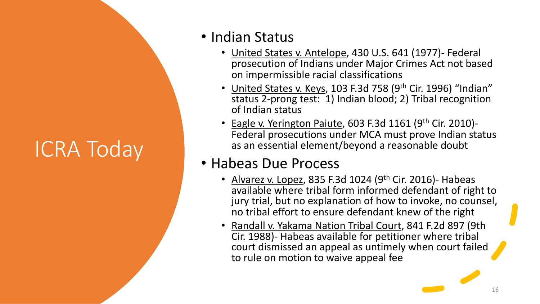### • Indian Status

- United States v. Antelope, 430 U.S. 641 (1977)- Federal prosecution of Indians under Major Crimes Act not based on impermissible racial classifications
- United States v. Keys, 103 F.3d 758 (9<sup>th</sup> Cir. 1996) "Indian" status 2-prong test: 1) Indian blood; 2) Tribal recognition of Indian status
- Eagle v. Yerington Paiute, 603 F.3d 1161 (9th Cir. 2010)- Federal prosecutions under MCA must prove Indian status as an essential element/beyond a reasonable doubt

### • Habeas Due Process

- Alvarez v. Lopez, 835 F.3d 1024 (9th Cir. 2016)- Habeas available where tribal form informed defendant of right to jury trial, but no explanation of how to invoke, no counsel, no tribal effort to ensure defendant knew of the right
- Randall v. Yakama Nation Tribal Court, 841 F.2d 897 (9th Cir. 1988)- Habeas available for petitioner where tribal court dismissed an appeal as untimely when court failed to rule on motion to waive appeal fee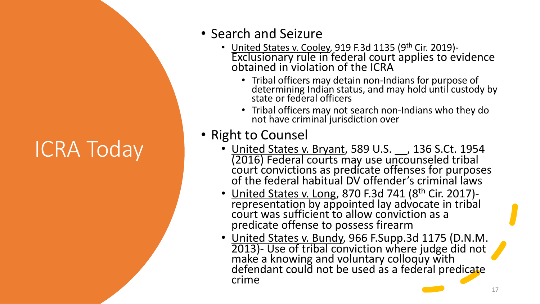- Search and Seizure
	- United States v. Cooley, 919 F.3d 1135 (9<sup>th</sup> Cir. 2019)-<br>Exclusionary rule in federal court applies to evidence obtained in violation of the ICRA
		- Tribal officers may detain non-Indians for purpose of<br>determining Indian status, and may hold until custody by state or federal officers
		- Tribal officers may not search non-Indians who they do not have criminal jurisdiction over

### • Right to Counsel

- United States v. Bryant, 589 U.S. 136 S.Ct. 1954 (2016) Federal courts may use uncounseled tribal court convictions as predicate offenses for purposes of the federal habitual DV offender's criminal laws
- United States v. Long, 870 F.3d 741 (8<sup>th</sup> Cir. 2017)representation by appointed lay advocate in tribal court was sufficient to allow conviction as a predicate offense to possess firearm
- United States v. Bundy, 966 F.Supp.3d 1175 (D.N.M. 2013)- Use of tribal conviction where judge did not make a knowing and voluntary colloquy with defendant could not be used as a federal predicate crime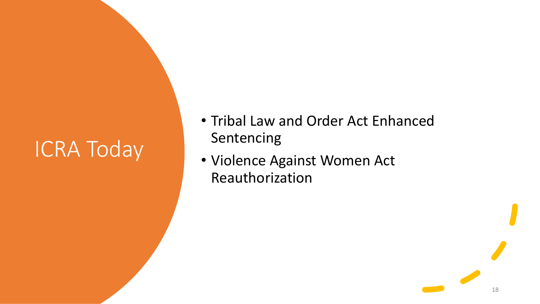- Tribal Law and Order Act Enhanced Sentencing
- Violence Against Women Act Reauthorization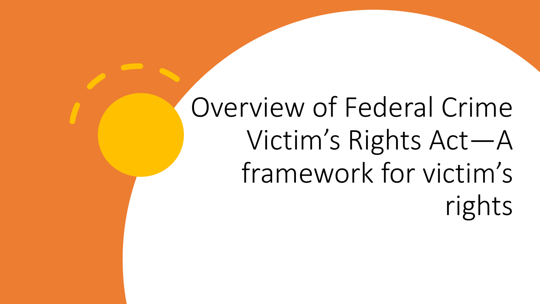# Overview of Federal Crime Victim's Rights Act—A framework for victim's rights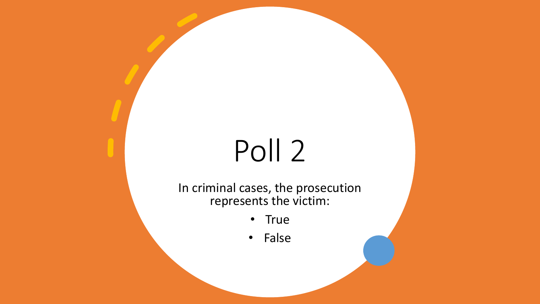# Poll 2

In criminal cases, the prosecution represents the victim:

- True
- False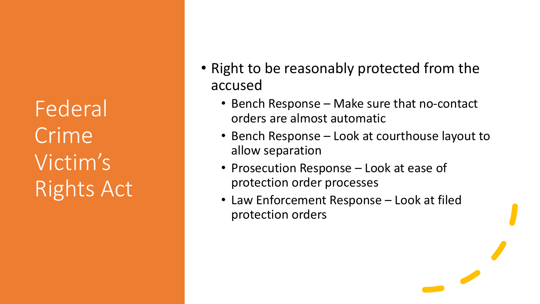- Right to be reasonably protected from the accused
	- Bench Response Make sure that no-contact orders are almost automatic
	- Bench Response Look at courthouse layout to allow separation
	- Prosecution Response Look at ease of protection order processes
	- Law Enforcement Response Look at filed protection orders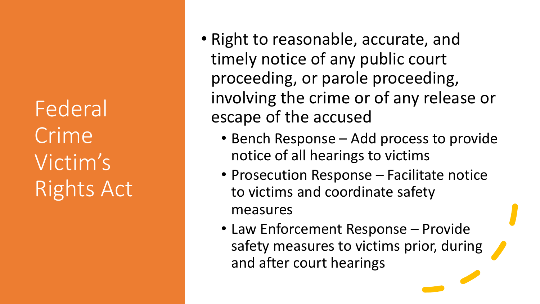- Right to reasonable, accurate, and timely notice of any public court proceeding, or parole proceeding, involving the crime or of any release or escape of the accused
	- Bench Response Add process to provide notice of all hearings to victims
	- Prosecution Response Facilitate notice to victims and coordinate safety measures
	- Law Enforcement Response Provide safety measures to victims prior, during and after court hearings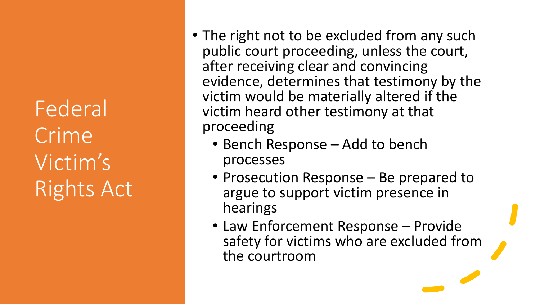- The right not to be excluded from any such public court proceeding, unless the court, after receiving clear and convincing evidence, determines that testimony by the victim would be materially altered if the victim heard other testimony at that proceeding
	- Bench Response Add to bench processes
	- Prosecution Response Be prepared to argue to support victim presence in hearings
	- Law Enforcement Response Provide safety for victims who are excluded from the courtroom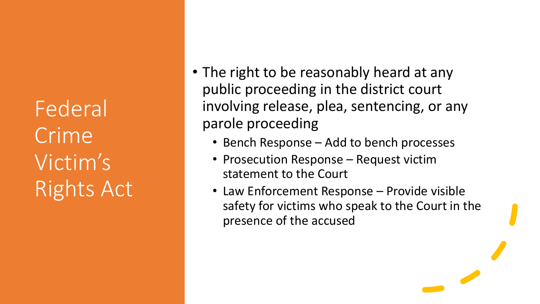- The right to be reasonably heard at any public proceeding in the district court involving release, plea, sentencing, or any parole proceeding
	- Bench Response Add to bench processes
	- Prosecution Response Request victim statement to the Court
	- Law Enforcement Response Provide visible safety for victims who speak to the Court in the presence of the accused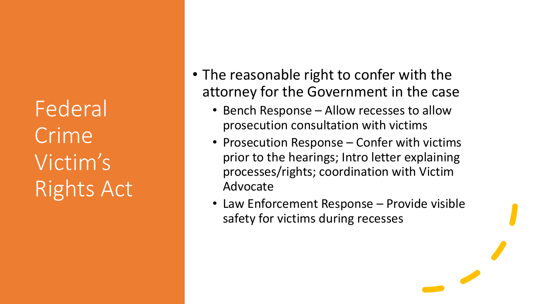- The reasonable right to confer with the attorney for the Government in the case
	- Bench Response Allow recesses to allow prosecution consultation with victims
	- Prosecution Response Confer with victims prior to the hearings; Intro letter explaining processes/rights; coordination with Victim Advocate
	- Law Enforcement Response Provide visible safety for victims during recesses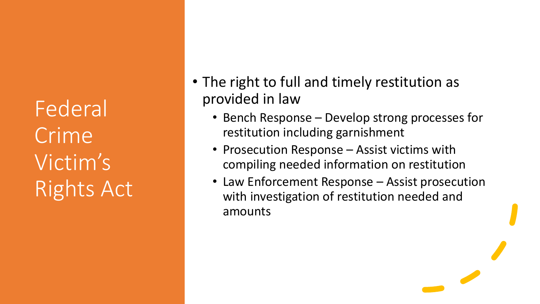- The right to full and timely restitution as provided in law
	- Bench Response Develop strong processes for restitution including garnishment
	- Prosecution Response Assist victims with compiling needed information on restitution
	- Law Enforcement Response Assist prosecution with investigation of restitution needed and amounts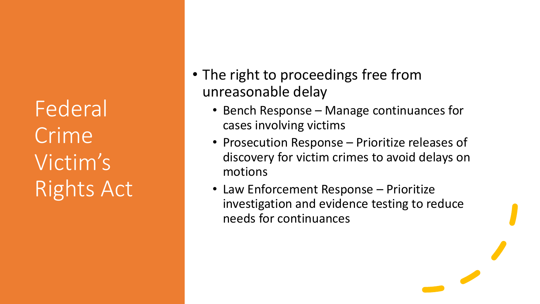- The right to proceedings free from unreasonable delay
	- Bench Response Manage continuances for cases involving victims
	- Prosecution Response Prioritize releases of discovery for victim crimes to avoid delays on motions
	- Law Enforcement Response Prioritize investigation and evidence testing to reduce needs for continuances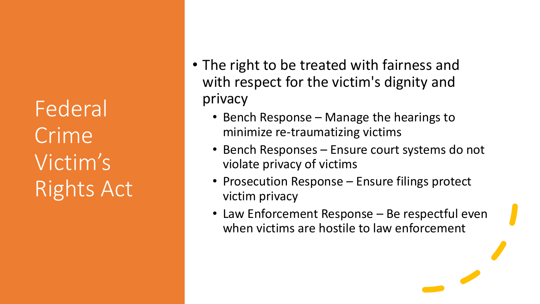- The right to be treated with fairness and with respect for the victim's dignity and privacy
	- Bench Response Manage the hearings to minimize re-traumatizing victims
	- Bench Responses Ensure court systems do not violate privacy of victims
	- Prosecution Response Ensure filings protect victim privacy
	- Law Enforcement Response Be respectful even when victims are hostile to law enforcement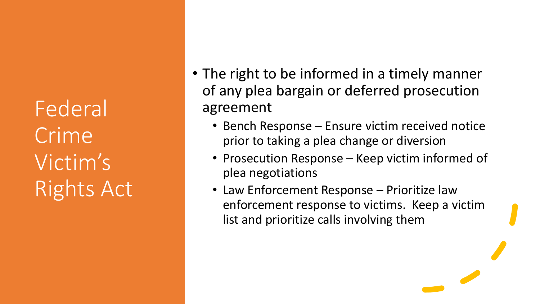- The right to be informed in a timely manner of any plea bargain or deferred prosecution agreement
	- Bench Response Ensure victim received notice prior to taking a plea change or diversion
	- Prosecution Response Keep victim informed of plea negotiations
	- Law Enforcement Response Prioritize law enforcement response to victims. Keep a victim list and prioritize calls involving them